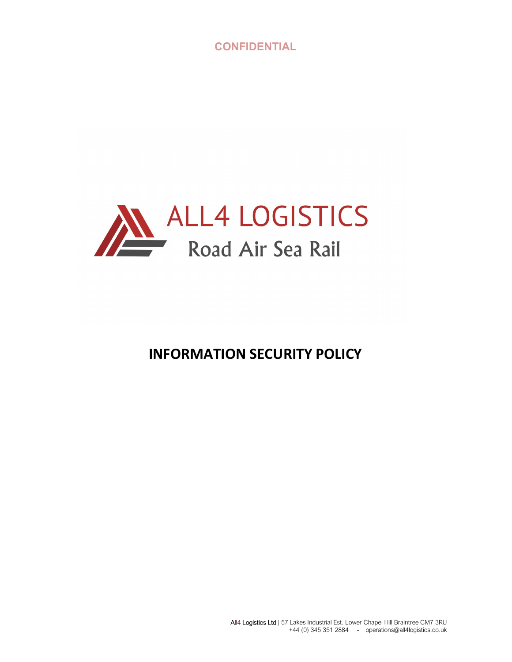

# INFORMATION SECURITY POLICY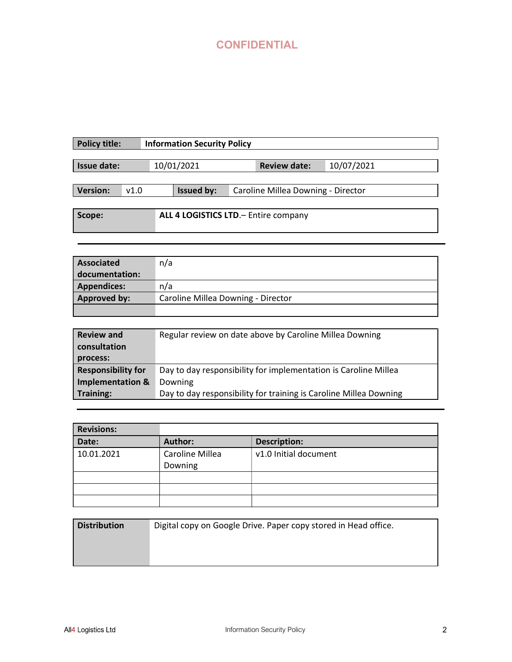| <b>Policy title:</b> |      | <b>Information Security Policy</b> |                                       |            |
|----------------------|------|------------------------------------|---------------------------------------|------------|
|                      |      |                                    |                                       |            |
| Issue date:          |      | 10/01/2021                         | <b>Review date:</b>                   | 10/07/2021 |
|                      |      |                                    |                                       |            |
| <b>Version:</b>      | v1.0 | Issued by:                         | Caroline Millea Downing - Director    |            |
|                      |      |                                    |                                       |            |
| Scope:               |      |                                    | ALL 4 LOGISTICS LTD. - Entire company |            |
|                      |      |                                    |                                       |            |
|                      |      |                                    |                                       |            |

| Associated         | n/a                                |
|--------------------|------------------------------------|
| documentation:     |                                    |
| <b>Appendices:</b> | n/a                                |
| Approved by:       | Caroline Millea Downing - Director |
|                    |                                    |

| <b>Review and</b><br>consultation | Regular review on date above by Caroline Millea Downing           |
|-----------------------------------|-------------------------------------------------------------------|
| process:                          |                                                                   |
| <b>Responsibility for</b>         | Day to day responsibility for implementation is Caroline Millea   |
| <b>Implementation &amp;</b>       | Downing                                                           |
| <b>Training:</b>                  | Day to day responsibility for training is Caroline Millea Downing |

| <b>Revisions:</b> |                            |                       |
|-------------------|----------------------------|-----------------------|
| Date:             | Author:                    | <b>Description:</b>   |
| 10.01.2021        | Caroline Millea<br>Downing | v1.0 Initial document |
|                   |                            |                       |
|                   |                            |                       |
|                   |                            |                       |

| <b>Distribution</b> | Digital copy on Google Drive. Paper copy stored in Head office. |
|---------------------|-----------------------------------------------------------------|
|                     |                                                                 |
|                     |                                                                 |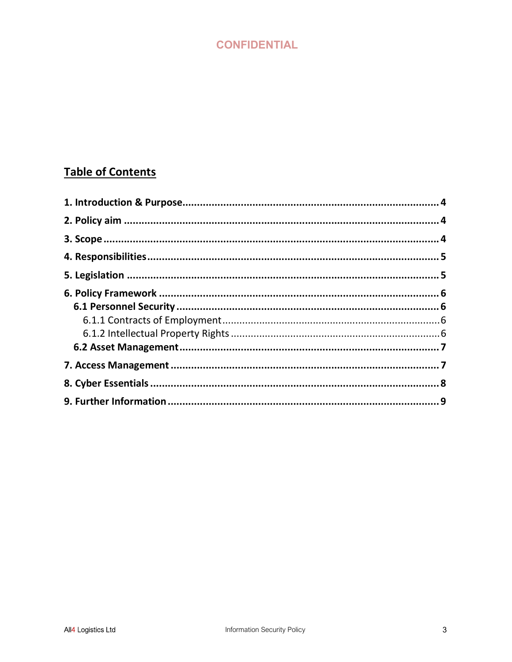# **Table of Contents**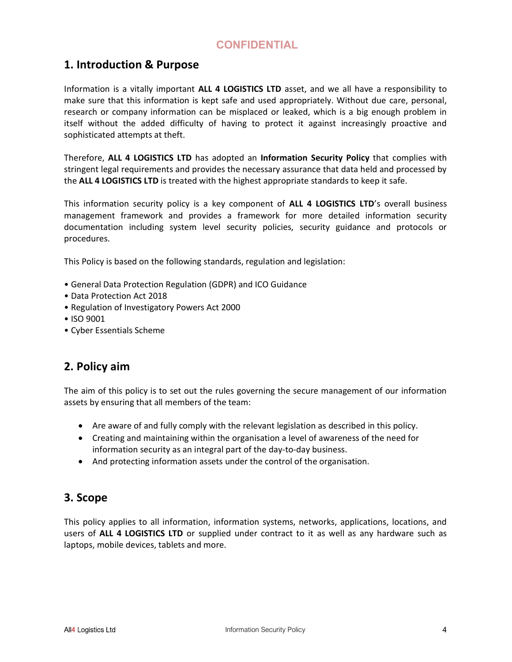### 1. Introduction & Purpose

Information is a vitally important ALL 4 LOGISTICS LTD asset, and we all have a responsibility to make sure that this information is kept safe and used appropriately. Without due care, personal, research or company information can be misplaced or leaked, which is a big enough problem in itself without the added difficulty of having to protect it against increasingly proactive and sophisticated attempts at theft.

Therefore, ALL 4 LOGISTICS LTD has adopted an Information Security Policy that complies with stringent legal requirements and provides the necessary assurance that data held and processed by the ALL 4 LOGISTICS LTD is treated with the highest appropriate standards to keep it safe.

This information security policy is a key component of ALL 4 LOGISTICS LTD's overall business management framework and provides a framework for more detailed information security documentation including system level security policies, security guidance and protocols or procedures.

This Policy is based on the following standards, regulation and legislation:

- General Data Protection Regulation (GDPR) and ICO Guidance
- Data Protection Act 2018
- Regulation of Investigatory Powers Act 2000
- ISO 9001
- Cyber Essentials Scheme

#### 2. Policy aim

The aim of this policy is to set out the rules governing the secure management of our information assets by ensuring that all members of the team:

- Are aware of and fully comply with the relevant legislation as described in this policy.
- Creating and maintaining within the organisation a level of awareness of the need for information security as an integral part of the day-to-day business.
- And protecting information assets under the control of the organisation.

#### 3. Scope

This policy applies to all information, information systems, networks, applications, locations, and users of ALL 4 LOGISTICS LTD or supplied under contract to it as well as any hardware such as laptops, mobile devices, tablets and more.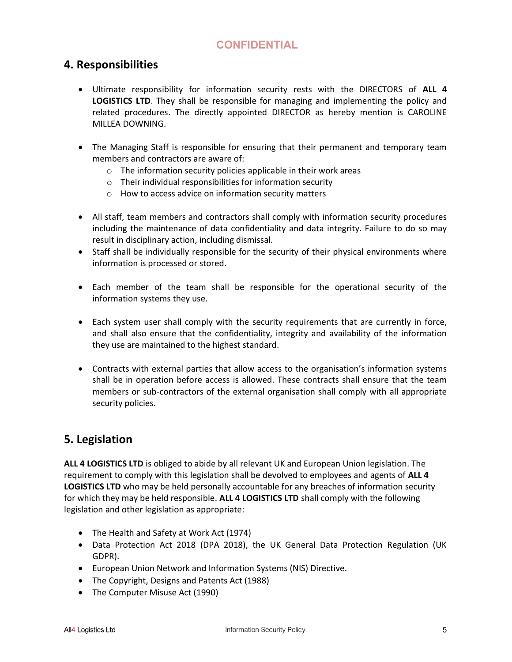#### 4. Responsibilities

- Ultimate responsibility for information security rests with the DIRECTORS of ALL 4 LOGISTICS LTD. They shall be responsible for managing and implementing the policy and related procedures. The directly appointed DIRECTOR as hereby mention is CAROLINE MILLEA DOWNING.
- The Managing Staff is responsible for ensuring that their permanent and temporary team members and contractors are aware of:
	- o The information security policies applicable in their work areas
	- o Their individual responsibilities for information security
	- o How to access advice on information security matters
- All staff, team members and contractors shall comply with information security procedures including the maintenance of data confidentiality and data integrity. Failure to do so may result in disciplinary action, including dismissal.
- Staff shall be individually responsible for the security of their physical environments where information is processed or stored.
- Each member of the team shall be responsible for the operational security of the information systems they use.
- Each system user shall comply with the security requirements that are currently in force, and shall also ensure that the confidentiality, integrity and availability of the information they use are maintained to the highest standard.
- Contracts with external parties that allow access to the organisation's information systems shall be in operation before access is allowed. These contracts shall ensure that the team members or sub-contractors of the external organisation shall comply with all appropriate security policies.

#### 5. Legislation

ALL 4 LOGISTICS LTD is obliged to abide by all relevant UK and European Union legislation. The requirement to comply with this legislation shall be devolved to employees and agents of ALL 4 LOGISTICS LTD who may be held personally accountable for any breaches of information security for which they may be held responsible. ALL 4 LOGISTICS LTD shall comply with the following legislation and other legislation as appropriate:

- The Health and Safety at Work Act (1974)
- Data Protection Act 2018 (DPA 2018), the UK General Data Protection Regulation (UK GDPR).
- European Union Network and Information Systems (NIS) Directive.
- The Copyright, Designs and Patents Act (1988)
- The Computer Misuse Act (1990)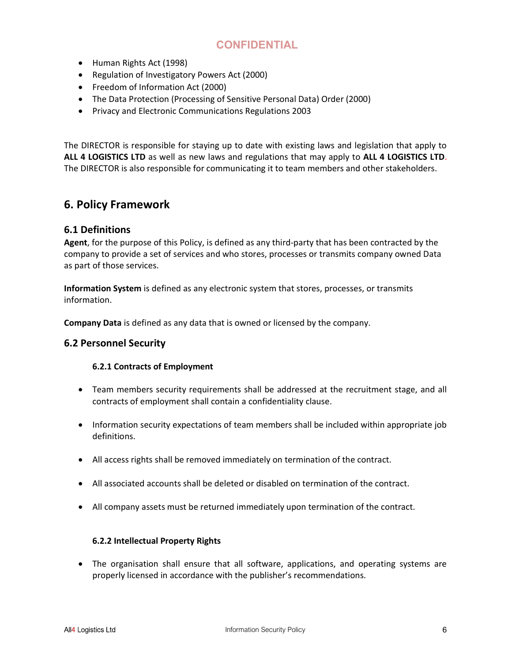- Human Rights Act (1998)
- Regulation of Investigatory Powers Act (2000)
- Freedom of Information Act (2000)
- The Data Protection (Processing of Sensitive Personal Data) Order (2000)
- Privacy and Electronic Communications Regulations 2003

The DIRECTOR is responsible for staying up to date with existing laws and legislation that apply to ALL 4 LOGISTICS LTD as well as new laws and regulations that may apply to ALL 4 LOGISTICS LTD. The DIRECTOR is also responsible for communicating it to team members and other stakeholders.

#### 6. Policy Framework

#### 6.1 Definitions

Agent, for the purpose of this Policy, is defined as any third-party that has been contracted by the company to provide a set of services and who stores, processes or transmits company owned Data as part of those services.

Information System is defined as any electronic system that stores, processes, or transmits information.

Company Data is defined as any data that is owned or licensed by the company.

#### 6.2 Personnel Security

#### 6.2.1 Contracts of Employment

- Team members security requirements shall be addressed at the recruitment stage, and all contracts of employment shall contain a confidentiality clause.
- Information security expectations of team members shall be included within appropriate job definitions.
- All access rights shall be removed immediately on termination of the contract.
- All associated accounts shall be deleted or disabled on termination of the contract.
- All company assets must be returned immediately upon termination of the contract.

#### 6.2.2 Intellectual Property Rights

 The organisation shall ensure that all software, applications, and operating systems are properly licensed in accordance with the publisher's recommendations.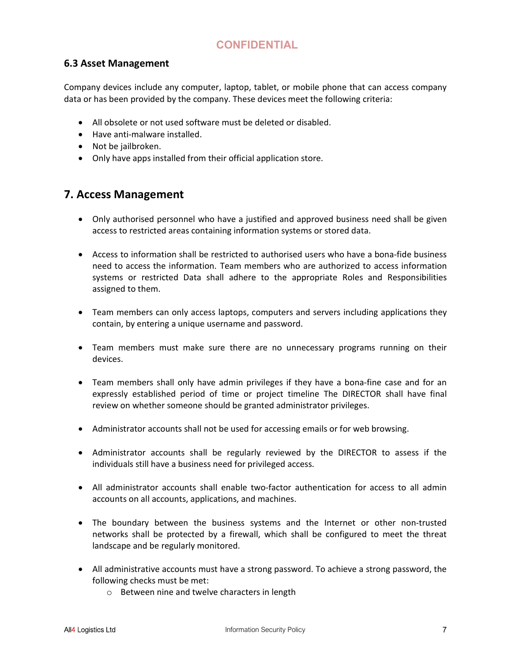#### 6.3 Asset Management

Company devices include any computer, laptop, tablet, or mobile phone that can access company data or has been provided by the company. These devices meet the following criteria:

- All obsolete or not used software must be deleted or disabled.
- Have anti-malware installed.
- Not be jailbroken.
- Only have apps installed from their official application store.

### 7. Access Management

- Only authorised personnel who have a justified and approved business need shall be given access to restricted areas containing information systems or stored data.
- Access to information shall be restricted to authorised users who have a bona-fide business need to access the information. Team members who are authorized to access information systems or restricted Data shall adhere to the appropriate Roles and Responsibilities assigned to them.
- Team members can only access laptops, computers and servers including applications they contain, by entering a unique username and password.
- Team members must make sure there are no unnecessary programs running on their devices.
- Team members shall only have admin privileges if they have a bona-fine case and for an expressly established period of time or project timeline The DIRECTOR shall have final review on whether someone should be granted administrator privileges.
- Administrator accounts shall not be used for accessing emails or for web browsing.
- Administrator accounts shall be regularly reviewed by the DIRECTOR to assess if the individuals still have a business need for privileged access.
- All administrator accounts shall enable two-factor authentication for access to all admin accounts on all accounts, applications, and machines.
- The boundary between the business systems and the Internet or other non-trusted networks shall be protected by a firewall, which shall be configured to meet the threat landscape and be regularly monitored.
- All administrative accounts must have a strong password. To achieve a strong password, the following checks must be met:
	- o Between nine and twelve characters in length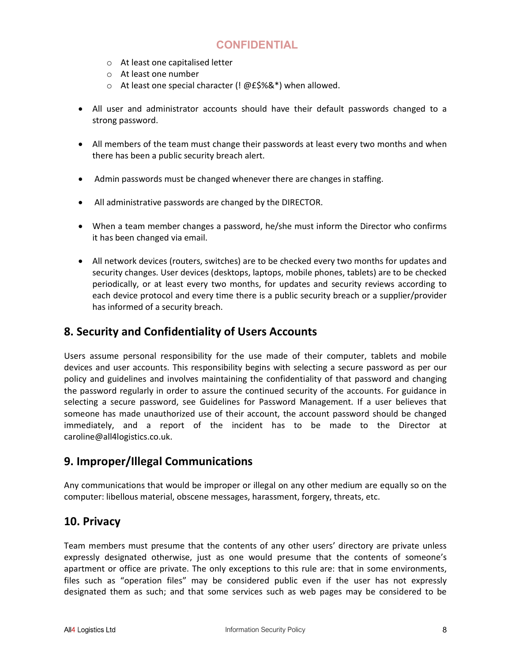- o At least one capitalised letter
- o At least one number
- o At least one special character (! @£\$%&\*) when allowed.
- All user and administrator accounts should have their default passwords changed to a strong password.
- All members of the team must change their passwords at least every two months and when there has been a public security breach alert.
- Admin passwords must be changed whenever there are changes in staffing.
- All administrative passwords are changed by the DIRECTOR.
- When a team member changes a password, he/she must inform the Director who confirms it has been changed via email.
- All network devices (routers, switches) are to be checked every two months for updates and security changes. User devices (desktops, laptops, mobile phones, tablets) are to be checked periodically, or at least every two months, for updates and security reviews according to each device protocol and every time there is a public security breach or a supplier/provider has informed of a security breach.

#### 8. Security and Confidentiality of Users Accounts

Users assume personal responsibility for the use made of their computer, tablets and mobile devices and user accounts. This responsibility begins with selecting a secure password as per our policy and guidelines and involves maintaining the confidentiality of that password and changing the password regularly in order to assure the continued security of the accounts. For guidance in selecting a secure password, see Guidelines for Password Management. If a user believes that someone has made unauthorized use of their account, the account password should be changed immediately, and a report of the incident has to be made to the Director at caroline@all4logistics.co.uk.

#### 9. Improper/Illegal Communications

Any communications that would be improper or illegal on any other medium are equally so on the computer: libellous material, obscene messages, harassment, forgery, threats, etc.

#### 10. Privacy

Team members must presume that the contents of any other users' directory are private unless expressly designated otherwise, just as one would presume that the contents of someone's apartment or office are private. The only exceptions to this rule are: that in some environments, files such as "operation files" may be considered public even if the user has not expressly designated them as such; and that some services such as web pages may be considered to be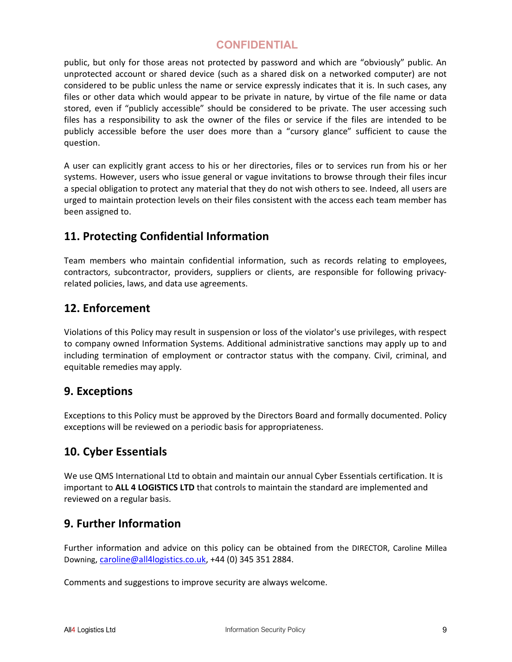public, but only for those areas not protected by password and which are "obviously" public. An unprotected account or shared device (such as a shared disk on a networked computer) are not considered to be public unless the name or service expressly indicates that it is. In such cases, any files or other data which would appear to be private in nature, by virtue of the file name or data stored, even if "publicly accessible" should be considered to be private. The user accessing such files has a responsibility to ask the owner of the files or service if the files are intended to be publicly accessible before the user does more than a "cursory glance" sufficient to cause the question.

A user can explicitly grant access to his or her directories, files or to services run from his or her systems. However, users who issue general or vague invitations to browse through their files incur a special obligation to protect any material that they do not wish others to see. Indeed, all users are urged to maintain protection levels on their files consistent with the access each team member has been assigned to.

### 11. Protecting Confidential Information

Team members who maintain confidential information, such as records relating to employees, contractors, subcontractor, providers, suppliers or clients, are responsible for following privacyrelated policies, laws, and data use agreements.

### 12. Enforcement

Violations of this Policy may result in suspension or loss of the violator's use privileges, with respect to company owned Information Systems. Additional administrative sanctions may apply up to and including termination of employment or contractor status with the company. Civil, criminal, and equitable remedies may apply.

#### 9. Exceptions

Exceptions to this Policy must be approved by the Directors Board and formally documented. Policy exceptions will be reviewed on a periodic basis for appropriateness.

### 10. Cyber Essentials

We use QMS International Ltd to obtain and maintain our annual Cyber Essentials certification. It is important to ALL 4 LOGISTICS LTD that controls to maintain the standard are implemented and reviewed on a regular basis.

### 9. Further Information

Further information and advice on this policy can be obtained from the DIRECTOR, Caroline Millea Downing, caroline@all4logistics.co.uk, +44 (0) 345 351 2884.

Comments and suggestions to improve security are always welcome.